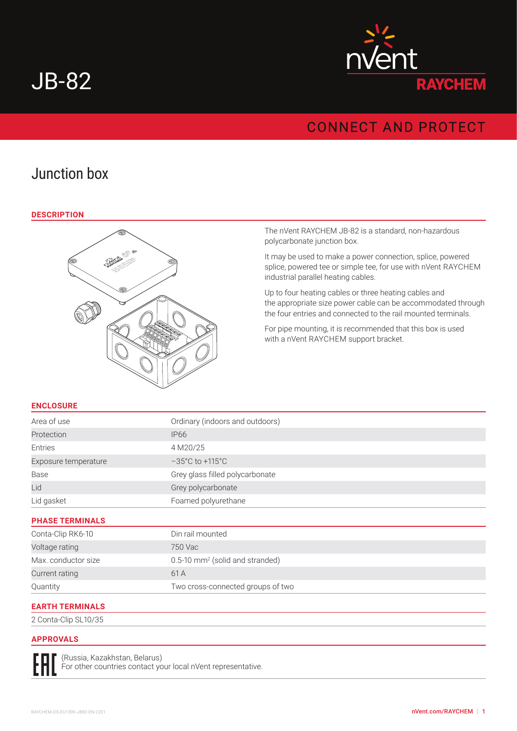# JB-82



# **CONNECT AND PROTECT**

# Junction box

#### **DESCRIPTION**



The nVent RAYCHEM JB-82 is a standard, non-hazardous polycarbonate junction box.

It may be used to make a power connection, splice, powered splice, powered tee or simple tee, for use with nVent RAYCHEM industrial parallel heating cables.

Up to four heating cables or three heating cables and the appropriate size power cable can be accommodated through the four entries and connected to the rail mounted terminals.

For pipe mounting, it is recommended that this box is used with a nVent RAYCHEM support bracket.

## **ENCLOSURE**

| Area of use            | Ordinary (indoors and outdoors)             |
|------------------------|---------------------------------------------|
| Protection             | <b>IP66</b>                                 |
| Entries                | 4 M20/25                                    |
| Exposure temperature   | $-35^{\circ}$ C to $+115^{\circ}$ C         |
| Base                   | Grey glass filled polycarbonate             |
| Lid                    | Grey polycarbonate                          |
| Lid gasket             | Foamed polyurethane                         |
| <b>PHASE TERMINALS</b> |                                             |
| Conta-Clip RK6-10      | Din rail mounted                            |
| Voltage rating         | 750 Vac                                     |
| Max. conductor size    | 0.5-10 mm <sup>2</sup> (solid and stranded) |
| Current rating         | 61 A                                        |
| Quantity               | Two cross-connected groups of two           |
| <b>EARTH TERMINALS</b> |                                             |

2 Conta-Clip SL10/35

#### **APPROVALS**

(Russia, Kazakhstan, Belarus) For other countries contact your local nVent representative.